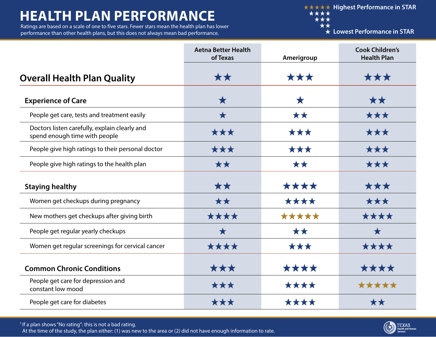## **HEALTH PLAN PERFORMANCE**

Ratings are based on a scale of one to five stars. Fewer stars mean the health plan has lower performance than other health plans, but this does not always mean bad performance.

**★★★★★ Highest Performance in STAR** \*\*\*\* \*\*\*  $\star\star$ 

**Lowest Performance in STAR**

|                                                                                | <b>Aetna Better Health</b><br>of Texas | Amerigroup | <b>Cook Children's</b><br><b>Health Plan</b> |
|--------------------------------------------------------------------------------|----------------------------------------|------------|----------------------------------------------|
| <b>Overall Health Plan Quality</b>                                             | **                                     | ***        | ***                                          |
| <b>Experience of Care</b>                                                      | $\bigstar$                             | $\bigstar$ | **                                           |
| People get care, tests and treatment easily                                    | $\bigstar$                             | **         | ***                                          |
| Doctors listen carefully, explain clearly and<br>spend enough time with people | ***                                    | ***        | ***                                          |
| People give high ratings to their personal doctor                              | ***                                    | ***        | ***                                          |
| People give high ratings to the health plan                                    | **                                     | **         | ***                                          |
| <b>Staying healthy</b>                                                         | **                                     | ****       | ***                                          |
| Women get checkups during pregnancy                                            | **                                     | ****       | ***                                          |
| New mothers get checkups after giving birth                                    | ****                                   | *****      | ****                                         |
| People get regular yearly checkups                                             | $\bigstar$                             | **         | $\bigstar$                                   |
| Women get regular screenings for cervical cancer                               | ****                                   | ***        | ****                                         |
| <b>Common Chronic Conditions</b>                                               | ★★★                                    | ****       | ****                                         |
| People get care for depression and<br>constant low mood                        | ***                                    | ****       | *****                                        |
| People get care for diabetes                                                   | ***                                    | ****       | **                                           |

† If a plan shows "No rating": this is not a bad rating. At the time of the study, the plan either: (1) was new to the area or (2) did not have enough information to rate.